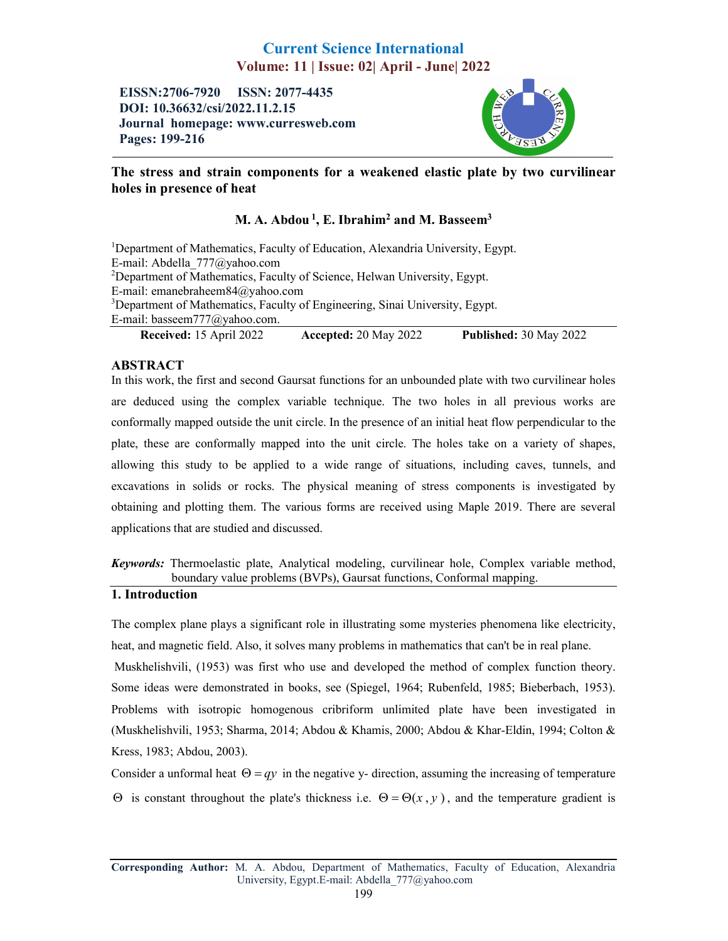# Current Science International Volume: 11 | Issue: 02| April - June| 2022

EISSN:2706-7920 ISSN: 2077-4435 DOI: 10.36632/csi/2022.11.2.15 Journal homepage: www.curresweb.com Pages: 199-216



## The stress and strain components for a weakened elastic plate by two curvilinear holes in presence of heat

# M. A. Abdou<sup>1</sup>, E. Ibrahim<sup>2</sup> and M. Basseem<sup>3</sup>

<sup>1</sup>Department of Mathematics, Faculty of Education, Alexandria University, Egypt. E-mail: Abdella\_777@yahoo.com <sup>2</sup>Department of Mathematics, Faculty of Science, Helwan University, Egypt. E-mail: emanebraheem84@yahoo.com <sup>3</sup>Department of Mathematics, Faculty of Engineering, Sinai University, Egypt. E-mail: basseem777@yahoo.com.

Received: 15 April 2022 Accepted: 20 May 2022 Published: 30 May 2022

## ABSTRACT

In this work, the first and second Gaursat functions for an unbounded plate with two curvilinear holes are deduced using the complex variable technique. The two holes in all previous works are conformally mapped outside the unit circle. In the presence of an initial heat flow perpendicular to the plate, these are conformally mapped into the unit circle. The holes take on a variety of shapes, allowing this study to be applied to a wide range of situations, including caves, tunnels, and excavations in solids or rocks. The physical meaning of stress components is investigated by obtaining and plotting them. The various forms are received using Maple 2019. There are several applications that are studied and discussed.

*Keywords:* Thermoelastic plate, Analytical modeling, curvilinear hole, Complex variable method, boundary value problems (BVPs), Gaursat functions, Conformal mapping.

# 1. Introduction

The complex plane plays a significant role in illustrating some mysteries phenomena like electricity, heat, and magnetic field. Also, it solves many problems in mathematics that can't be in real plane. Muskhelishvili, (1953) was first who use and developed the method of complex function theory. Some ideas were demonstrated in books, see (Spiegel, 1964; Rubenfeld, 1985; Bieberbach, 1953). Problems with isotropic homogenous cribriform unlimited plate have been investigated in (Muskhelishvili, 1953; Sharma, 2014; Abdou & Khamis, 2000; Abdou & Khar-Eldin, 1994; Colton & Kress, 1983; Abdou, 2003).

Consider a unformal heat  $\Theta = qy$  in the negative y- direction, assuming the increasing of temperature  $\Theta$  is constant throughout the plate's thickness i.e.  $\Theta = \Theta(x, y)$ , and the temperature gradient is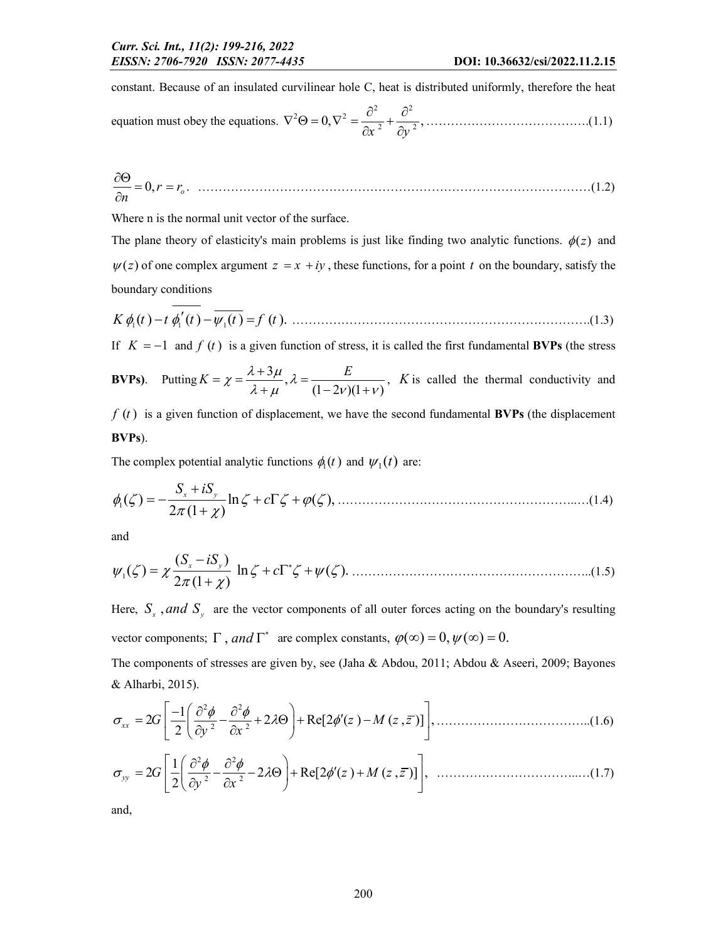constant. Because of an insulated curvilinear hole C, heat is distributed uniformly, therefore the heat

equation must obey the equations. 
$$
\nabla^2 \Theta = 0, \nabla^2 = \frac{\partial^2}{\partial x^2} + \frac{\partial^2}{\partial y^2}, \dots
$$
 (1.1)

$$
\frac{\partial \Theta}{\partial n} = 0, r = r_o. \tag{1.2}
$$

Where n is the normal unit vector of the surface.

The plane theory of elasticity's main problems is just like finding two analytic functions.  $\phi(z)$  and  $\psi(z)$  of one complex argument  $z = x + iy$ , these functions, for a point t on the boundary, satisfy the boundary conditions

$$
K \phi_1(t) - t \phi_1'(t) - \overline{\psi_1(t)} = f(t). \tag{1.3}
$$

If  $K = -1$  and  $f(t)$  is a given function of stress, it is called the first fundamental **BVPs** (the stress

**BVPs).** Putting 
$$
K = \chi = \frac{\lambda + 3\mu}{\lambda + \mu}, \lambda = \frac{E}{(1 - 2\nu)(1 + \nu)}, K
$$
 is called the thermal conductivity and

 $f(t)$  is a given function of displacement, we have the second fundamental **BVPs** (the displacement BVPs).

The complex potential analytic functions  $\phi_1(t)$  and  $\psi_1(t)$  are:

$$
\phi_1(\zeta) = -\frac{S_x + iS_y}{2\pi(1+\chi)} \ln \zeta + c\Gamma \zeta + \varphi(\zeta), \qquad (1.4)
$$

and

$$
\psi_1(\zeta) = \chi \frac{(S_x - iS_y)}{2\pi (1 + \chi)} \ln \zeta + c\Gamma^* \zeta + \psi(\zeta). \tag{1.5}
$$

Here,  $S_x$ , and  $S_y$  are the vector components of all outer forces acting on the boundary's resulting vector components;  $\Gamma$ , and  $\Gamma^*$  are complex constants,  $\varphi(\infty) = 0$ ,  $\psi(\infty) = 0$ .

The components of stresses are given by, see (Jaha & Abdou, 2011; Abdou & Aseeri, 2009; Bayones & Alharbi, 2015).

$$
\sigma_{xx} = 2G \left[ \frac{-1}{2} \left( \frac{\partial^2 \phi}{\partial y^2} - \frac{\partial^2 \phi}{\partial x^2} + 2\lambda \Theta \right) + \text{Re}[2\phi'(z) - M(z, \bar{z})] \right], \qquad (1.6)
$$
\n
$$
\sigma_{yy} = 2G \left[ \frac{1}{2} \left( \frac{\partial^2 \phi}{\partial y^2} - \frac{\partial^2 \phi}{\partial x^2} - 2\lambda \Theta \right) + \text{Re}[2\phi'(z) + M(z, \bar{z})] \right], \qquad (1.7)
$$

and,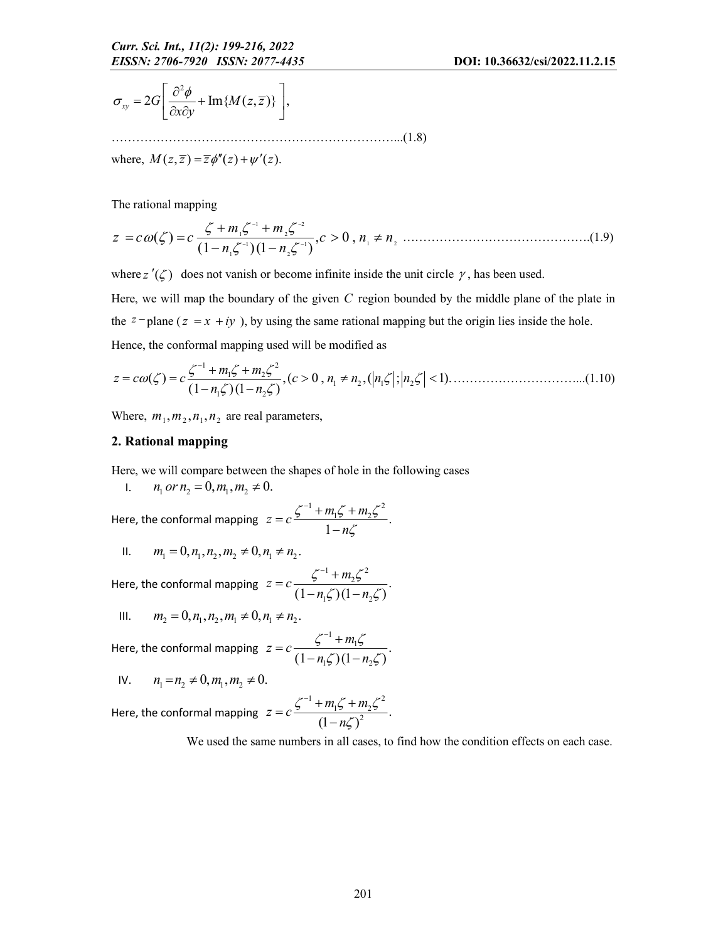$$
\sigma_{xy} = 2G \left[ \frac{\partial^2 \phi}{\partial x \partial y} + \text{Im} \{ M(z, \overline{z}) \} \right],
$$

……………………………………………………………...(1.8) where,  $M(z, \overline{z}) = \overline{z} \phi''(z) + \psi'(z)$ .

The rational mapping

1 2 1 2 1 1 1 2 1 2 ( ) , 0 , (1 )(1 ) *m m z c c c n n n n* ……………………………………….(1.9)

where  $z'(\zeta)$  does not vanish or become infinite inside the unit circle  $\gamma$ , has been used.

Here, we will map the boundary of the given *C* region bounded by the middle plane of the plate in the  $z$ -plane ( $z = x + iy$ ), by using the same rational mapping but the origin lies inside the hole. Hence, the conformal mapping used will be modified as

$$
z = c\omega(\zeta) = c \frac{\zeta^{-1} + m_1 \zeta + m_2 \zeta^2}{(1 - n_1 \zeta)(1 - n_2 \zeta)}, (c > 0, n_1 \neq n_2, (|n_1 \zeta|; |n_2 \zeta| < 1). \tag{1.10}
$$

Where,  $m_1, m_2, n_1, n_2$  are real parameters,

### 2. Rational mapping

Here, we will compare between the shapes of hole in the following cases

1.  $n_1$  *or*  $n_2 = 0, m_1, m_2 \neq 0$ . Here, the conformal mapping  $1 \cdot m \cdot 1 \cdot m \cdot 2$  $z = c \frac{\zeta^{-1} + m_1 \zeta + m_2 \zeta^2}{1 - n \zeta}.$ *n*  $\zeta^{-1} + m_1 \zeta + m_2 \zeta$  $= c \frac{\zeta^{-1} + m_1 \zeta +}{1 - n \zeta}$ 

II. 
$$
m_1 = 0, n_1, n_2, m_2 \neq 0, n_1 \neq n_2
$$
.

Here, the conformal mapping 
$$
z = c \frac{\zeta^{-1} + m_2 \zeta^2}{(1 - n_1 \zeta)(1 - n_2 \zeta)}
$$
.

III. 
$$
m_2 = 0, n_1, n_2, m_1 \neq 0, n_1 \neq n_2
$$
.

Here, the conformal mapping 1 1  $z = c \frac{\zeta^{-1} + m_1 \zeta}{(1 - n_1 \zeta)(1 - n_2 \zeta)}.$  $n_1 \zeta (1 - n)$  $\zeta^{-1}+m_1\zeta$  $= c \frac{\zeta^{-1} + m_1 \zeta}{(1 - n_1 \zeta)(1 - n_2 \zeta)}$ 

IV. 
$$
n_1 = n_2 \neq 0, m_1, m_2 \neq 0.
$$

Here, the conformal mapping  $1 \cdot m \cdot 1 \cdot m \cdot 2$  $z = c \frac{\zeta^{-1} + m_1 \zeta + m_2 \zeta^2}{(1 - n \zeta)^2}.$ *n*  $\zeta^{-1}$  +  $m_1\zeta$  +  $m_2\zeta$  $= c \frac{\zeta^{-1} + m_1 \zeta +}{(1 - n \zeta)}$ 

We used the same numbers in all cases, to find how the condition effects on each case.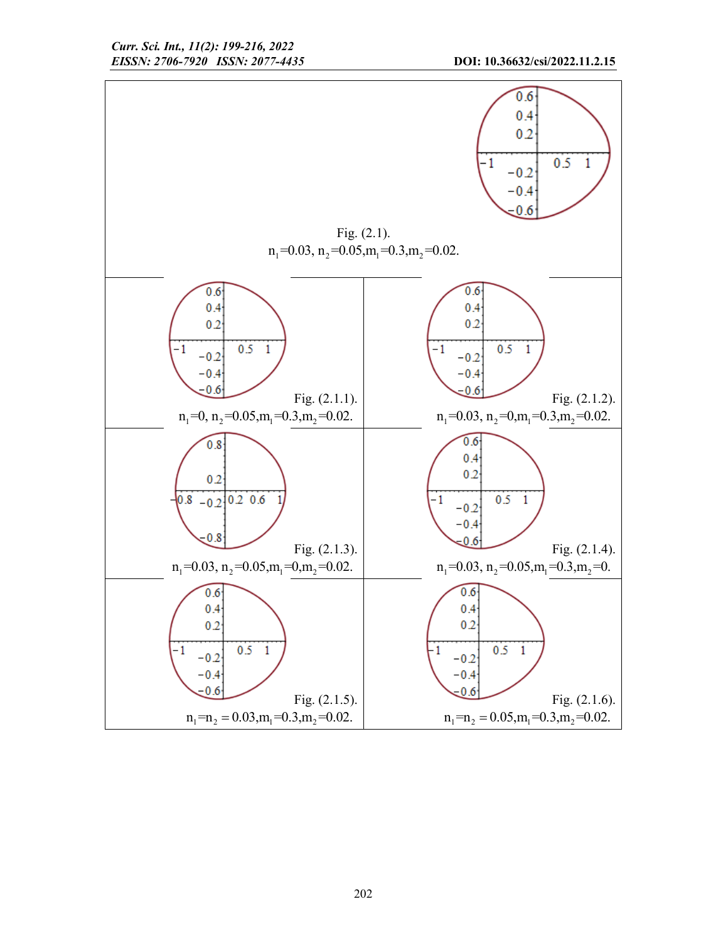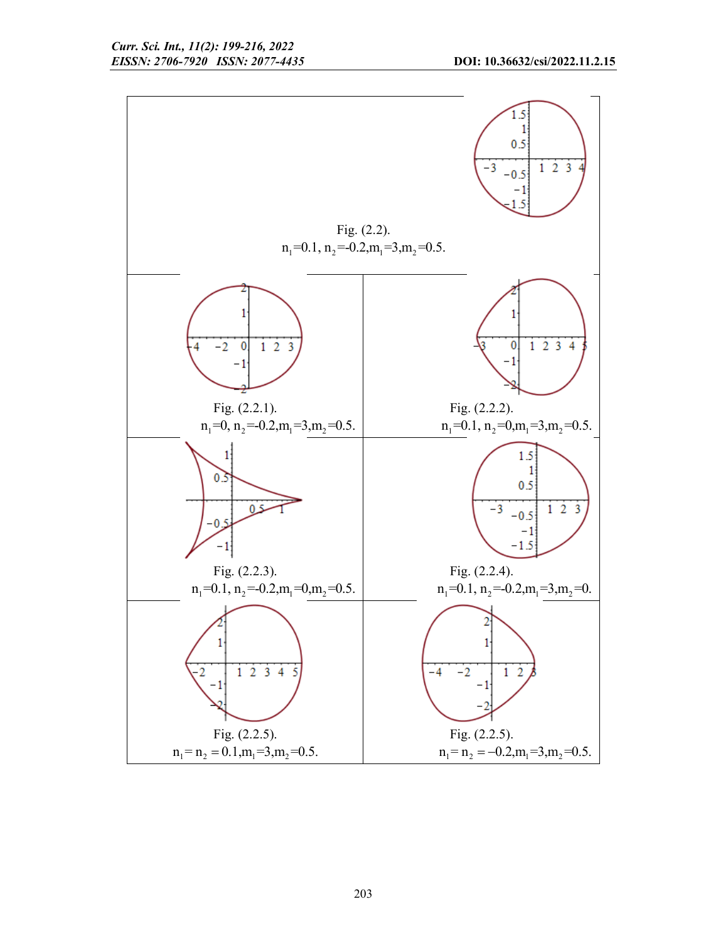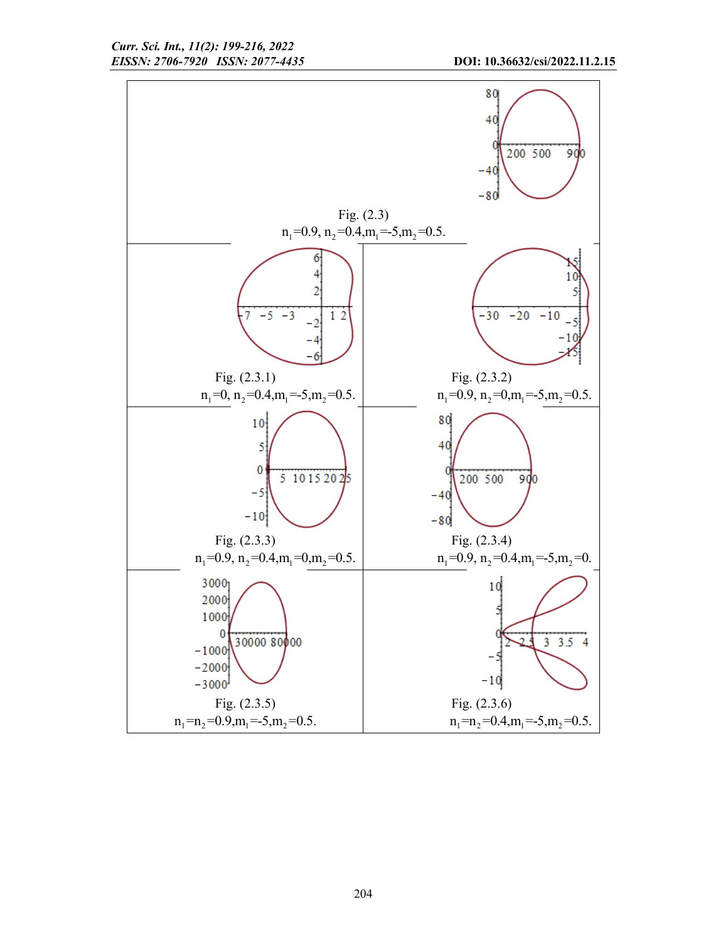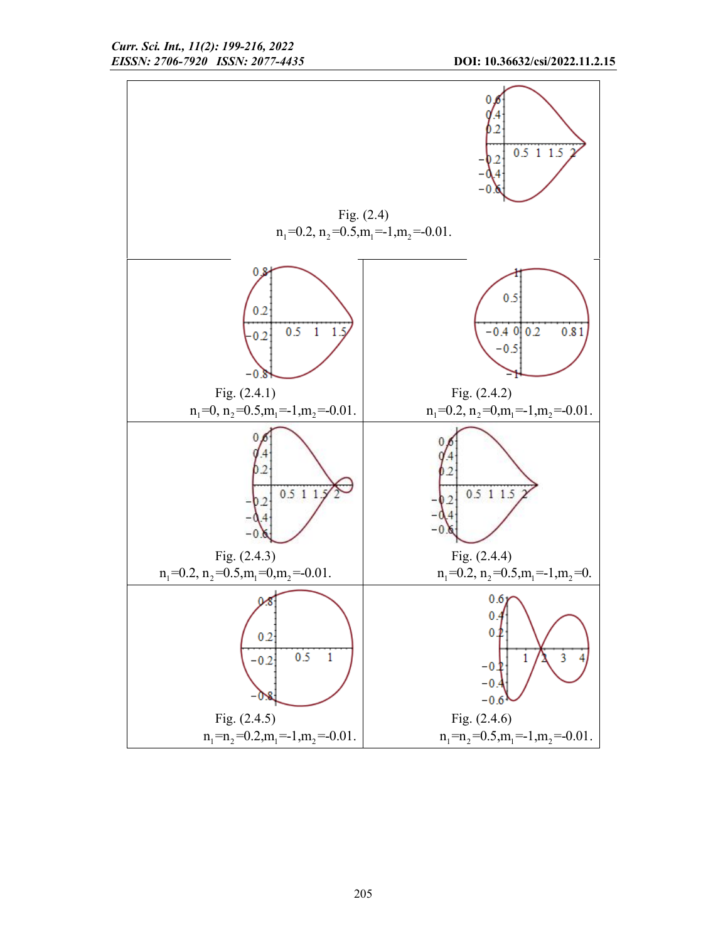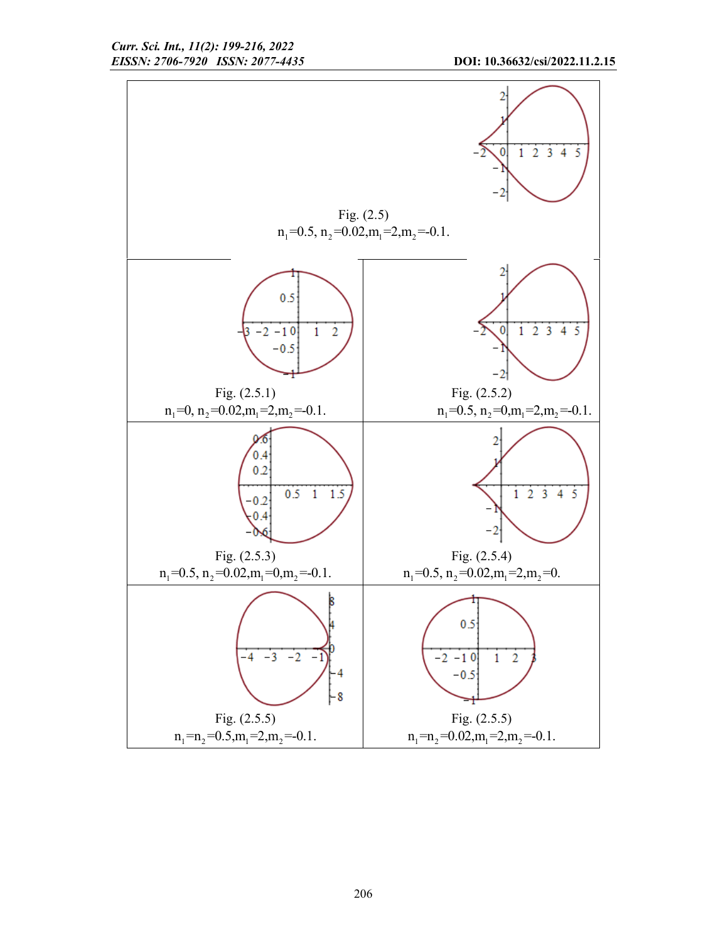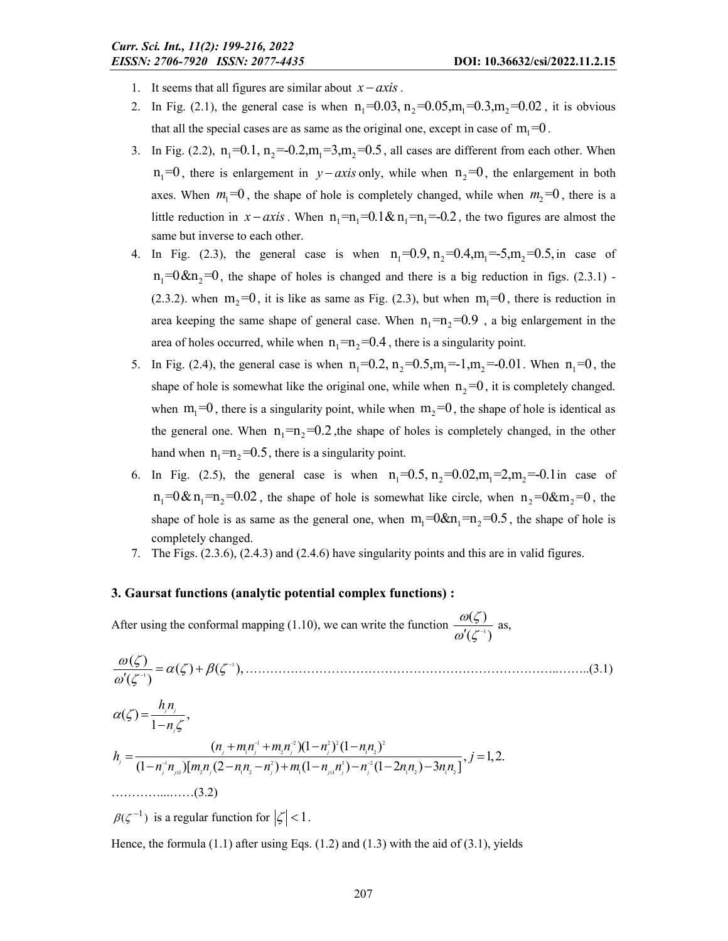- 1. It seems that all figures are similar about  $x axis$ .
- 2. In Fig. (2.1), the general case is when  $n_1 = 0.03$ ,  $n_2 = 0.05$ ,  $m_1 = 0.3$ ,  $m_2 = 0.02$ , it is obvious that all the special cases are as same as the original one, except in case of  $m_1 = 0$ .
- 3. In Fig. (2.2),  $n_1 = 0.1$ ,  $n_2 = -0.2$ ,  $m_1 = 3$ ,  $m_2 = 0.5$ , all cases are different from each other. When  $n_1 = 0$ , there is enlargement in  $y - axis$  only, while when  $n_2 = 0$ , the enlargement in both axes. When  $m_1=0$ , the shape of hole is completely changed, while when  $m_2=0$ , there is a little reduction in  $x - axis$ . When  $n_1 = n_1 = 0.1 \& n_1 = n_1 = -0.2$ , the two figures are almost the same but inverse to each other.
- 4. In Fig. (2.3), the general case is when  $n_1 = 0.9, n_2 = 0.4, m_1 = -5, m_2 = 0.5,$  in case of  $n_1 = 0 < n_2 = 0$ , the shape of holes is changed and there is a big reduction in figs. (2.3.1) -(2.3.2). when  $m_2=0$ , it is like as same as Fig. (2.3), but when  $m_1=0$ , there is reduction in area keeping the same shape of general case. When  $n_1 = n_2 = 0.9$ , a big enlargement in the area of holes occurred, while when  $n_1 = n_2 = 0.4$ , there is a singularity point.
- 5. In Fig. (2.4), the general case is when  $n_1 = 0.2$ ,  $n_2 = 0.5$ ,  $m_1 = 1$ ,  $m_2 = -0.01$ . When  $n_1 = 0$ , the shape of hole is somewhat like the original one, while when  $n_2 = 0$ , it is completely changed. when  $m_1 = 0$ , there is a singularity point, while when  $m_2 = 0$ , the shape of hole is identical as the general one. When  $n_1 = n_2 = 0.2$ , the shape of holes is completely changed, in the other hand when  $n_1 = n_2 = 0.5$ , there is a singularity point.
- 6. In Fig. (2.5), the general case is when  $n_1 = 0.5$ ,  $n_2 = 0.02$ ,  $m_1 = 2$ ,  $m_2 = -0.1$  in case of  $n_1 = 0 & n_1 = n_2 = 0.02$ , the shape of hole is somewhat like circle, when  $n_2 = 0 & m_2 = 0$ , the shape of hole is as same as the general one, when  $m_1 = 0 & \text{for } n_1 = 0.5$ , the shape of hole is completely changed.
- 7. The Figs. (2.3.6), (2.4.3) and (2.4.6) have singularity points and this are in valid figures.

#### 3. Gaursat functions (analytic potential complex functions) :

After using the conformal mapping (1.10), we can write the function  $\frac{\omega(\zeta)}{\omega'(\zeta)}$  $(\zeta^{-\mathfrak{l}})$  $\frac{\omega(\zeta)}{\omega'(\zeta^{-1})}$  as,

1 1 ( ) ( ) ( ), ( ) …………………………………………………………………..……..(3.1) 1 2 2 2 2 1 2 1 2 1 2 3 2 1 2 1 2 1 1 1 2 1 2 ( ) , <sup>1</sup> ( )(1 ) (1 ) , 1,2. (1 )[ (2 ) (1 ) (1 2 ) 3 ] *j j j j j j j j j j j j j j j h n n n mn m n n nn h j n n m n nn n m n n n nn nn* …………...……(3.2)

 $\beta(\zeta^{-1})$  is a regular function for  $|\zeta|$  < 1.

Hence, the formula  $(1.1)$  after using Eqs.  $(1.2)$  and  $(1.3)$  with the aid of  $(3.1)$ , yields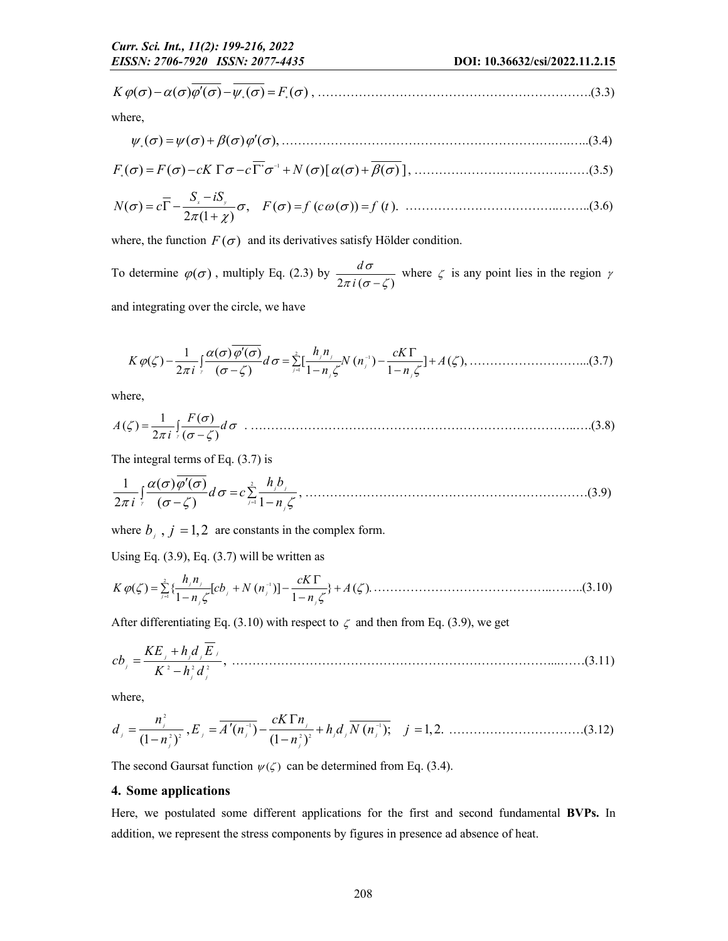*K F* ( ) ( ) ( ) ( ) ( ) , ………………………………………………………….(3.3)

where,

( ) ( ) ( ) ( ), ………………………………………………………….….…..(3.4)

1 *F F cK c N* ( ) ( ) ( )[ ( ) ( ) ] , ……………………………….……(3.5)

( ) , 2 (1 ) *x y S iS N c F f c f t* ( ) ( ( )) ( ). ………………………………..……..(3.6)

where, the function  $F(\sigma)$  and its derivatives satisfy Hölder condition.

To determine  $\varphi(\sigma)$ , multiply Eq. (2.3) by  $\frac{d\sigma}{2\pi i (\sigma-\zeta)}$ *i*  $rac{d\sigma}{\pi i(\sigma-\zeta)}$  where  $\zeta$  is any point lies in the region  $\gamma$ 

and integrating over the circle, we have

 <sup>2</sup> <sup>1</sup> 1 1 ( ) ( ) ( ) [ ( ) ] ( ), 2 ( ) 1 1 *j j <sup>j</sup> <sup>j</sup> j j h n cK K d N n A i n n* ………………………...(3.7)

where,

$$
A(\zeta) = \frac{1}{2\pi i} \int_{\zeta} \frac{F(\sigma)}{(\sigma - \zeta)} d\sigma \quad (3.8)
$$

The integral terms of Eq. (3.7) is

1 1 ( ) ( ) 2 ( ) 1 *j j j j h b d c i n* , ……………………………………………………………(3.9)

where  $b_i$ ,  $j = 1,2$  are constants in the complex form.

Using Eq.  $(3.9)$ , Eq.  $(3.7)$  will be written as

<sup>2</sup> <sup>1</sup> 1 ( ) { [ ( )] } ( ). 1 1 *j j j j <sup>j</sup> j j h n cK K cb N n A n n* ……………………………………..……..(3.10)

After differentiating Eq. (3.10) with respect to  $\zeta$  and then from Eq. (3.9), we get

2 2 2 , *<sup>j</sup> j j j j j KE h d E cb K h d* ……………………………………………………………………...……(3.11)

where,

2 1 1 2 2 2 2 , ( ) ( ); 1,2. (1 ) (1 ) *j j j j j j j j j j n cK n d E A n h d N n j n n* ……………………………(3.12)

The second Gaursat function  $\psi(\zeta)$  can be determined from Eq. (3.4).

### 4. Some applications

Here, we postulated some different applications for the first and second fundamental BVPs. In addition, we represent the stress components by figures in presence ad absence of heat.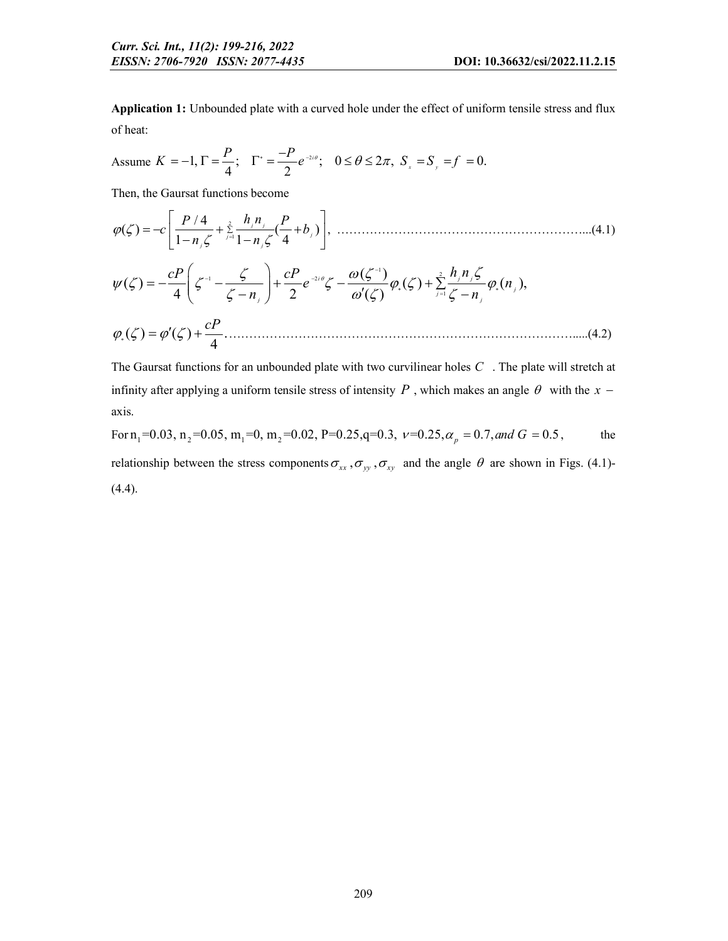Application 1: Unbounded plate with a curved hole under the effect of uniform tensile stress and flux of heat:

Assume 
$$
K = -1
$$
,  $\Gamma = \frac{P}{4}$ ;  $\Gamma^* = \frac{-P}{2} e^{-2i\theta}$ ;  $0 \le \theta \le 2\pi$ ,  $S_x = S_y = f = 0$ .

Then, the Gaursat functions become

2 1 / 4 ( ) ( ) 1 1 4 *j j j j j j P P h n c b n n* , ……………………………………………………...(4.1)

$$
\psi(\zeta) = -\frac{cP}{4}\left(\zeta^{-1} - \frac{\zeta}{\zeta - n_j}\right) + \frac{cP}{2}e^{-2i\theta}\zeta - \frac{\omega(\zeta^{-1})}{\omega'(\zeta)}\varphi_{*}(\zeta) + \sum_{j=1}^{2}\frac{h_j n_j \zeta}{\zeta - n_j}\varphi_{*}(n_j),
$$

( ) ( ) . <sup>4</sup> *cP* ………………………………………………………………………….....(4.2)

The Gaursat functions for an unbounded plate with two curvilinear holes *C* . The plate will stretch at infinity after applying a uniform tensile stress of intensity  $P$ , which makes an angle  $\theta$  with the  $x$ axis.

For 
$$
n_1
$$
=0.03,  $n_2$ =0.05,  $m_1$ =0,  $m_2$ =0.02, P=0.25, q=0.3,  $v$ =0.25,  $\alpha_p$  = 0.7, and  $G$  = 0.5, the relationship between the stress components  $\sigma_{xx}$ ,  $\sigma_{yy}$ ,  $\sigma_{xy}$  and the angle  $\theta$  are shown in Figs. (4.1)-(4.4).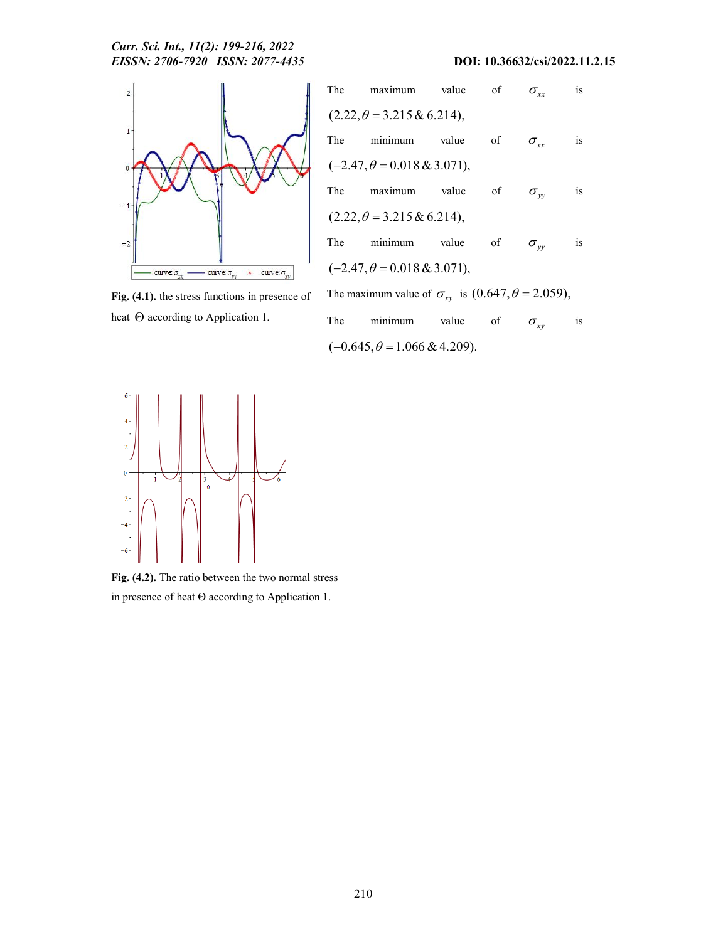

The maximum value of  $\sigma_{xx}$  is  $(2.22, \theta = 3.215 \& 6.214),$ The minimum value of  $\sigma_{xx}$  is  $(-2.47, \theta = 0.018 \& 3.071),$ The maximum value of  $\sigma_{yy}$  is  $(2.22, \theta = 3.215 \& 6.214),$ The minimum value of  $\sigma_{yy}$  is  $(-2.47, \theta = 0.018 \& 3.071),$ The maximum value of  $\sigma_{xy}$  is  $(0.647, \theta = 2.059)$ ,

Fig. (4.1). the stress functions in presence of heat  $\Theta$  according to Application 1.

| The | minimum                              | value | - of | $\sigma_{\rm uv}$ | $\overline{1}S$ |
|-----|--------------------------------------|-------|------|-------------------|-----------------|
|     | $(-0.645, \theta = 1.066 \& 4.209).$ |       |      |                   |                 |



Fig. (4.2). The ratio between the two normal stress in presence of heat Θ according to Application 1.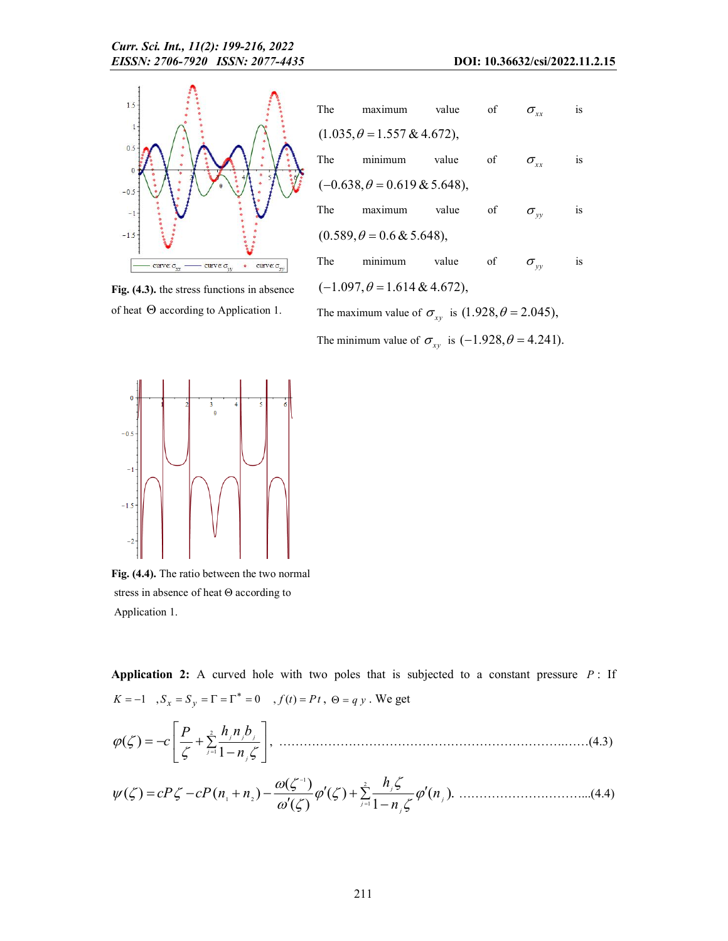

Fig. (4.3). the stress functions in absence of heat  $\Theta$  according to Application 1.

|                                                                   | The maximum value of |  |            | $\sigma_{xx}$     | is |  |  |
|-------------------------------------------------------------------|----------------------|--|------------|-------------------|----|--|--|
| $(1.035, \theta = 1.557 \& 4.672),$                               |                      |  |            |                   |    |  |  |
|                                                                   | The minimum value    |  | $\circ$ of | $\sigma_{\rm xx}$ | is |  |  |
| $(-0.638, \theta = 0.619 \& 5.648),$                              |                      |  |            |                   |    |  |  |
|                                                                   | The maximum value    |  | of         | $\sigma_{w}$      | is |  |  |
| $(0.589, \theta = 0.6 \& 5.648),$                                 |                      |  |            |                   |    |  |  |
|                                                                   | The minimum value of |  |            | $\sigma_{w}$      | is |  |  |
| $(-1.097, \theta = 1.614 \& 4.672),$                              |                      |  |            |                   |    |  |  |
| The maximum value of $\sigma_{xy}$ is $(1.928, \theta = 2.045)$ , |                      |  |            |                   |    |  |  |

The minimum value of  $\sigma_{xy}$  is  $(-1.928, \theta = 4.241)$ .



Fig. (4.4). The ratio between the two normal stress in absence of heat Θ according to Application 1.

Application 2: A curved hole with two poles that is subjected to a constant pressure *P* : If  $K=-1$  ,  $S_x=S_y=\Gamma=\Gamma^*=0$  ,  $f(t)=Pt$  ,  $\Theta=q\,y$  . We get

2 1 ( ) <sup>1</sup> *j j j j j P h n b c n* , …………………………………………………………….……(4.3)

$$
\psi(\zeta) = cP\zeta - cP(n_1 + n_2) - \frac{\omega(\zeta^{-1})}{\omega'(\zeta)}\varphi'(\zeta) + \sum_{j=1}^{2} \frac{h_j \zeta}{1 - n_j \zeta} \varphi'(n_j). \tag{4.4}
$$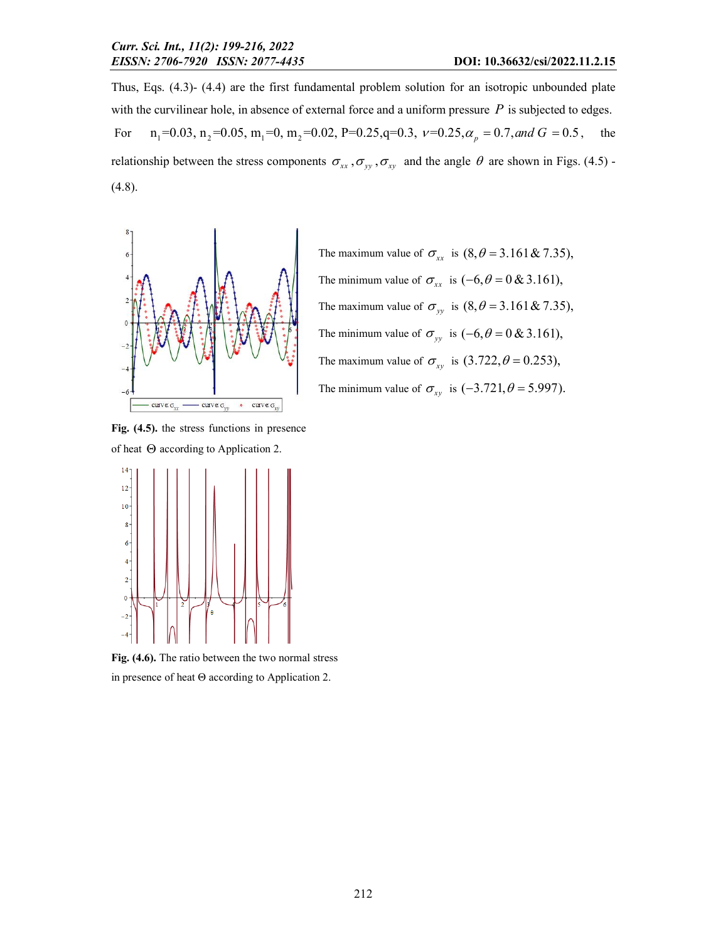Thus, Eqs. (4.3)- (4.4) are the first fundamental problem solution for an isotropic unbounded plate with the curvilinear hole, in absence of external force and a uniform pressure *P* is subjected to edges. For  $n_1 = 0.03$ ,  $n_2 = 0.05$ ,  $m_1 = 0$ ,  $m_2 = 0.02$ ,  $P = 0.25$ ,  $q = 0.3$ ,  $v = 0.25$ ,  $\alpha_p = 0.7$ , and  $G = 0.5$ , the relationship between the stress components  $\sigma_{xx}$ ,  $\sigma_{yy}$ ,  $\sigma_{xy}$  and the angle  $\theta$  are shown in Figs. (4.5) -(4.8).



The maximum value of  $\sigma_{xx}$  is  $(8, \theta = 3.161 \& 7.35)$ , The minimum value of  $\sigma_{xx}$  is  $(-6, \theta = 0 \& 3.161)$ , The maximum value of  $\sigma_{yy}$  is  $(8, \theta = 3.161 \& 7.35)$ , The minimum value of  $\sigma_{yy}$  is  $(-6, \theta = 0 \& 3.161)$ , The maximum value of  $\sigma_{xy}$  is  $(3.722, \theta = 0.253)$ , The minimum value of  $\sigma_{xy}$  is  $(-3.721, \theta = 5.997)$ .

Fig. (4.5). the stress functions in presence of heat  $\Theta$  according to Application 2.



Fig. (4.6). The ratio between the two normal stress in presence of heat Θ according to Application 2.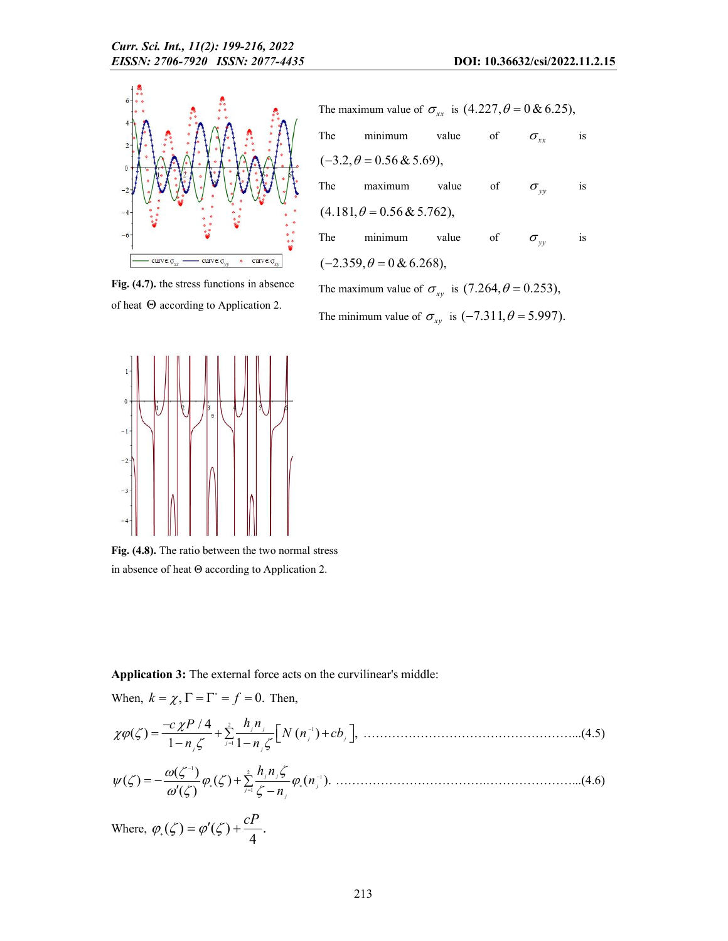

Fig. (4.7). the stress functions in absence of heat  $\Theta$  according to Application 2.



The minimum value of  $\sigma_{xy}$  is  $(-7.311, \theta = 5.997)$ .



Fig. (4.8). The ratio between the two normal stress in absence of heat Θ according to Application 2.

Application 3: The external force acts on the curvilinear's middle:

When, 
$$
k = \chi
$$
,  $\Gamma = \Gamma^* = f = 0$ . Then,  
\n
$$
\chi \varphi(\zeta) = \frac{-c \chi P / 4}{1 - n_{\zeta} \zeta} + \sum_{j=1}^{2} \frac{h_{j} n_{j}}{1 - n_{\zeta} \zeta} \Big[ N (n_{j}^{-1}) + cb_{j} \Big], \dots
$$
\n
$$
\psi(\zeta) = -\frac{\omega(\zeta^{-1})}{\omega'(\zeta)} \varphi_{\zeta}(\zeta) + \sum_{j=1}^{2} \frac{h_{j} n_{\zeta} \zeta}{\zeta - n_{j}} \varphi_{\zeta}(n_{j}^{-1}) \dots
$$
\n
$$
(4.6)
$$
\nWhere,  $\varphi_{\zeta}(\zeta) = \varphi'(\zeta) + \frac{cP}{4}$ .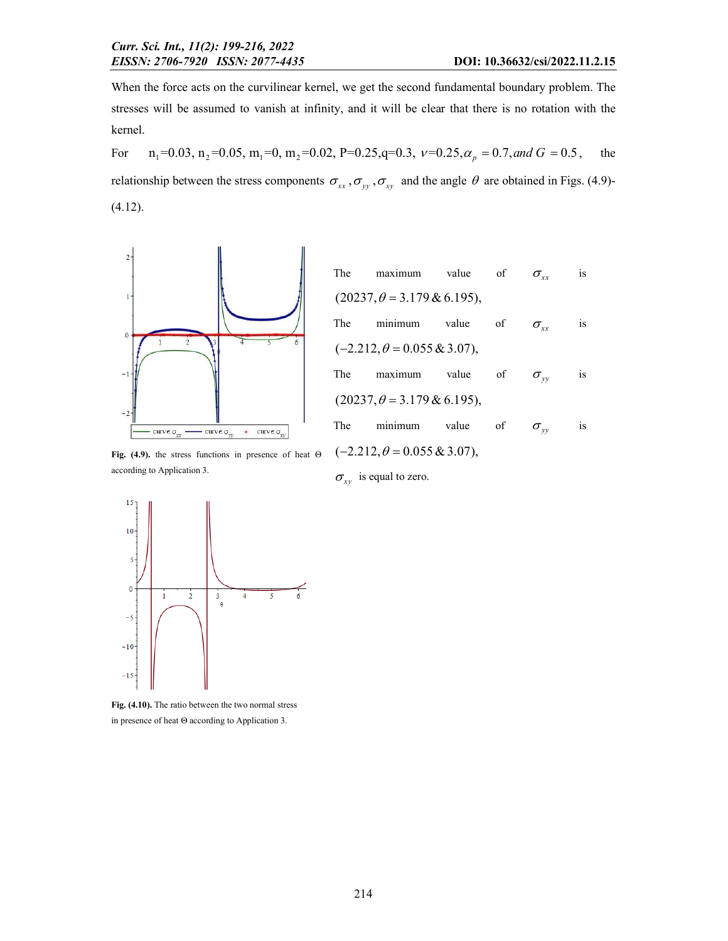When the force acts on the curvilinear kernel, we get the second fundamental boundary problem. The stresses will be assumed to vanish at infinity, and it will be clear that there is no rotation with the kernel.

For  $n_1 = 0.03$ ,  $n_2 = 0.05$ ,  $m_1 = 0$ ,  $m_2 = 0.02$ ,  $P = 0.25$ ,  $q = 0.3$ ,  $v = 0.25$ ,  $\alpha_p = 0.7$ , and  $G = 0.5$ , the relationship between the stress components  $\sigma_{xx}$ ,  $\sigma_{yy}$ ,  $\sigma_{xy}$  and the angle  $\theta$  are obtained in Figs. (4.9)-(4.12).



| The                                 | maximum value of |       |    | $\sigma_{xx}$     | is        |  |  |
|-------------------------------------|------------------|-------|----|-------------------|-----------|--|--|
| $(20237, \theta = 3.179 \& 6.195),$ |                  |       |    |                   |           |  |  |
| The                                 | minimum value    |       | of | $\sigma_{\rm xx}$ | <i>is</i> |  |  |
| $(-2.212, \theta = 0.055 \& 3.07),$ |                  |       |    |                   |           |  |  |
| The                                 | maximum value    |       | of | $\sigma_{w}$      | is        |  |  |
| $(20237, \theta = 3.179 \& 6.195),$ |                  |       |    |                   |           |  |  |
| The                                 | minimum          | value | of | $\sigma_{w}$      | is        |  |  |
| $(-2.212, \theta = 0.055 \& 3.07),$ |                  |       |    |                   |           |  |  |

Fig. (4.9). the stress functions in presence of heat Θ according to Application 3.





Fig. (4.10). The ratio between the two normal stress in presence of heat Θ according to Application 3.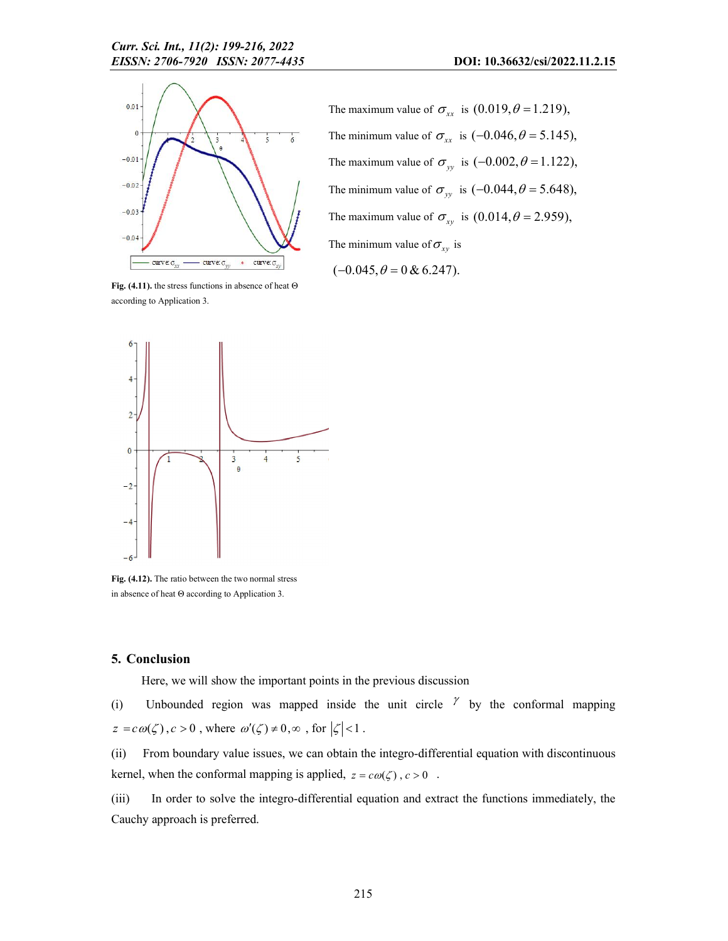

The maximum value of  $\sigma_{xx}$  is  $(0.019, \theta = 1.219)$ , The minimum value of  $\sigma_{xx}$  is  $(-0.046, \theta = 5.145)$ , The maximum value of  $\sigma_{yy}$  is  $(-0.002, \theta = 1.122)$ , The minimum value of  $\sigma_{yy}$  is  $(-0.044, \theta = 5.648)$ , The maximum value of  $\sigma_{xy}$  is  $(0.014, \theta = 2.959)$ , The minimum value of  $\sigma_{xy}$  is

 $(-0.045, \theta = 0 \& 6.247).$ 

Fig. (4.11). the stress functions in absence of heat  $\Theta$ according to Application 3.



Fig. (4.12). The ratio between the two normal stress in absence of heat Θ according to Application 3.

#### 5. Conclusion

Here, we will show the important points in the previous discussion

(i) Unbounded region was mapped inside the unit circle  $\gamma$  by the conformal mapping  $z = c \omega(\zeta), c > 0$ , where  $\omega'(\zeta) \neq 0, \infty$ , for  $|\zeta| < 1$ .

(ii) From boundary value issues, we can obtain the integro-differential equation with discontinuous kernel, when the conformal mapping is applied,  $z = c\omega(\zeta)$ ,  $c > 0$ .

(iii) In order to solve the integro-differential equation and extract the functions immediately, the Cauchy approach is preferred.